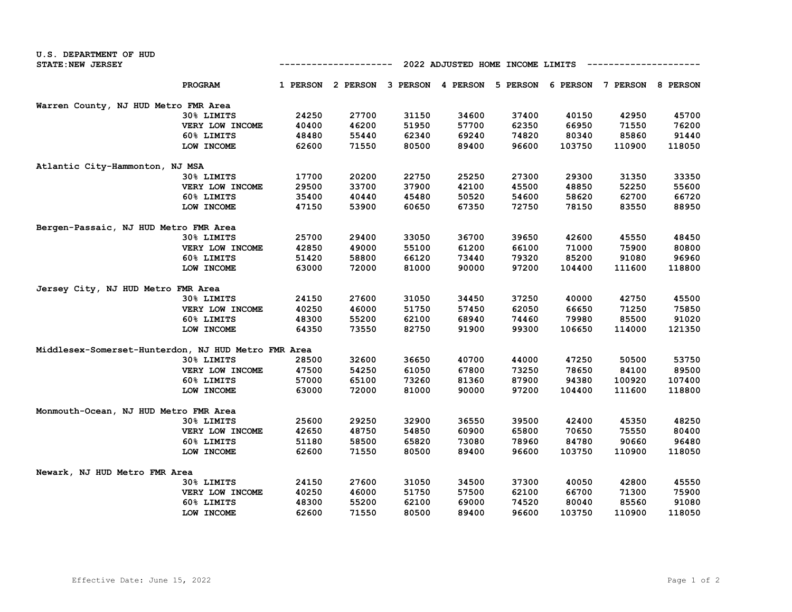| U.S. DEPARTMENT OF HUD                              |                 |                                  |                                     |       |       |          |          |          |                 |
|-----------------------------------------------------|-----------------|----------------------------------|-------------------------------------|-------|-------|----------|----------|----------|-----------------|
| <b>STATE: NEW JERSEY</b>                            |                 | 2022 ADJUSTED HOME INCOME LIMITS |                                     |       |       |          |          |          |                 |
|                                                     | <b>PROGRAM</b>  |                                  | 1 PERSON 2 PERSON 3 PERSON 4 PERSON |       |       | 5 PERSON | 6 PERSON | 7 PERSON | <b>8 PERSON</b> |
| Warren County, NJ HUD Metro FMR Area                |                 |                                  |                                     |       |       |          |          |          |                 |
|                                                     | 30% LIMITS      | 24250                            | 27700                               | 31150 | 34600 | 37400    | 40150    | 42950    | 45700           |
|                                                     | VERY LOW INCOME | 40400                            | 46200                               | 51950 | 57700 | 62350    | 66950    | 71550    | 76200           |
|                                                     | 60% LIMITS      | 48480                            | 55440                               | 62340 | 69240 | 74820    | 80340    | 85860    | 91440           |
|                                                     | LOW INCOME      | 62600                            | 71550                               | 80500 | 89400 | 96600    | 103750   | 110900   | 118050          |
| Atlantic City-Hammonton, NJ MSA                     |                 |                                  |                                     |       |       |          |          |          |                 |
|                                                     | 30% LIMITS      | 17700                            | 20200                               | 22750 | 25250 | 27300    | 29300    | 31350    | 33350           |
|                                                     | VERY LOW INCOME | 29500                            | 33700                               | 37900 | 42100 | 45500    | 48850    | 52250    | 55600           |
|                                                     | 60% LIMITS      | 35400                            | 40440                               | 45480 | 50520 | 54600    | 58620    | 62700    | 66720           |
|                                                     | LOW INCOME      | 47150                            | 53900                               | 60650 | 67350 | 72750    | 78150    | 83550    | 88950           |
| Bergen-Passaic, NJ HUD Metro FMR Area               |                 |                                  |                                     |       |       |          |          |          |                 |
|                                                     | 30% LIMITS      | 25700                            | 29400                               | 33050 | 36700 | 39650    | 42600    | 45550    | 48450           |
|                                                     | VERY LOW INCOME | 42850                            | 49000                               | 55100 | 61200 | 66100    | 71000    | 75900    | 80800           |
|                                                     | 60% LIMITS      | 51420                            | 58800                               | 66120 | 73440 | 79320    | 85200    | 91080    | 96960           |
|                                                     | LOW INCOME      | 63000                            | 72000                               | 81000 | 90000 | 97200    | 104400   | 111600   | 118800          |
| Jersey City, NJ HUD Metro FMR Area                  |                 |                                  |                                     |       |       |          |          |          |                 |
|                                                     | 30% LIMITS      | 24150                            | 27600                               | 31050 | 34450 | 37250    | 40000    | 42750    | 45500           |
|                                                     | VERY LOW INCOME | 40250                            | 46000                               | 51750 | 57450 | 62050    | 66650    | 71250    | 75850           |
|                                                     | 60% LIMITS      | 48300                            | 55200                               | 62100 | 68940 | 74460    | 79980    | 85500    | 91020           |
|                                                     | LOW INCOME      | 64350                            | 73550                               | 82750 | 91900 | 99300    | 106650   | 114000   | 121350          |
| Middlesex-Somerset-Hunterdon, NJ HUD Metro FMR Area |                 |                                  |                                     |       |       |          |          |          |                 |
|                                                     | 30% LIMITS      | 28500                            | 32600                               | 36650 | 40700 | 44000    | 47250    | 50500    | 53750           |
|                                                     | VERY LOW INCOME | 47500                            | 54250                               | 61050 | 67800 | 73250    | 78650    | 84100    | 89500           |
|                                                     | 60% LIMITS      | 57000                            | 65100                               | 73260 | 81360 | 87900    | 94380    | 100920   | 107400          |
|                                                     | LOW INCOME      | 63000                            | 72000                               | 81000 | 90000 | 97200    | 104400   | 111600   | 118800          |
| Monmouth-Ocean, NJ HUD Metro FMR Area               |                 |                                  |                                     |       |       |          |          |          |                 |
|                                                     | 30% LIMITS      | 25600                            | 29250                               | 32900 | 36550 | 39500    | 42400    | 45350    | 48250           |
|                                                     | VERY LOW INCOME | 42650                            | 48750                               | 54850 | 60900 | 65800    | 70650    | 75550    | 80400           |
|                                                     | 60% LIMITS      | 51180                            | 58500                               | 65820 | 73080 | 78960    | 84780    | 90660    | 96480           |
|                                                     | LOW INCOME      | 62600                            | 71550                               | 80500 | 89400 | 96600    | 103750   | 110900   | 118050          |
| Newark, NJ HUD Metro FMR Area                       |                 |                                  |                                     |       |       |          |          |          |                 |
|                                                     | 30% LIMITS      | 24150                            | 27600                               | 31050 | 34500 | 37300    | 40050    | 42800    | 45550           |
|                                                     | VERY LOW INCOME | 40250                            | 46000                               | 51750 | 57500 | 62100    | 66700    | 71300    | 75900           |
|                                                     | 60% LIMITS      | 48300                            | 55200                               | 62100 | 69000 | 74520    | 80040    | 85560    | 91080           |
|                                                     | LOW INCOME      | 62600                            | 71550                               | 80500 | 89400 | 96600    | 103750   | 110900   | 118050          |